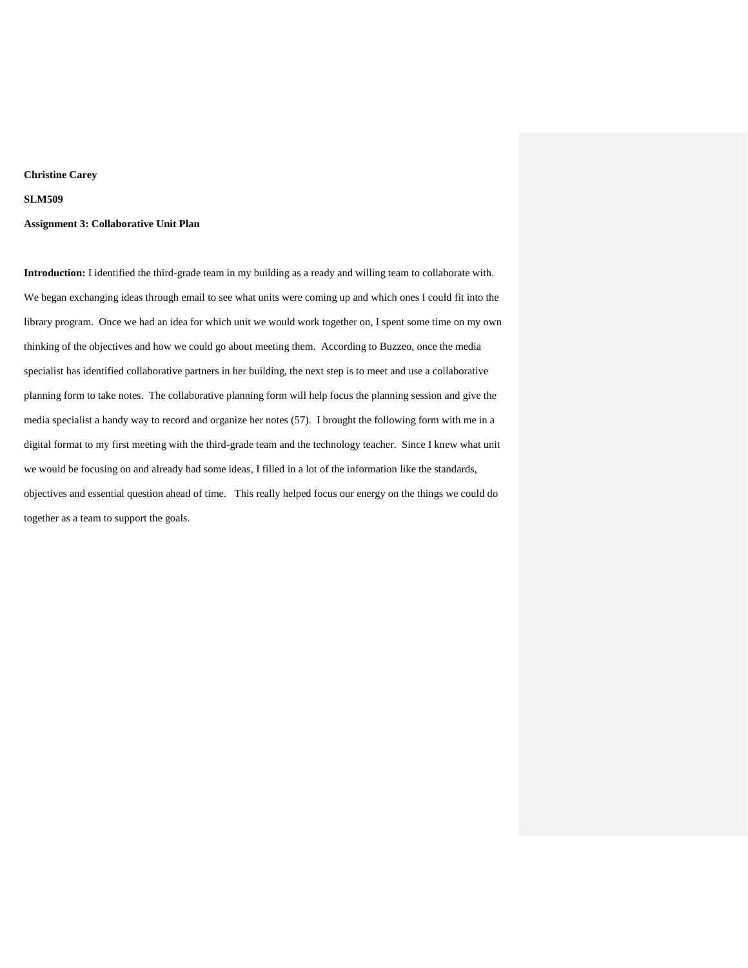### **Christine Carey**

### **SLM509**

### **Assignment 3: Collaborative Unit Plan**

**Introduction:** I identified the third-grade team in my building as a ready and willing team to collaborate with. We began exchanging ideas through email to see what units were coming up and which ones I could fit into the library program. Once we had an idea for which unit we would work together on, I spent some time on my own thinking of the objectives and how we could go about meeting them. According to Buzzeo, once the media specialist has identified collaborative partners in her building, the next step is to meet and use a collaborative planning form to take notes. The collaborative planning form will help focus the planning session and give the media specialist a handy way to record and organize her notes (57). I brought the following form with me in a digital format to my first meeting with the third-grade team and the technology teacher. Since I knew what unit we would be focusing on and already had some ideas, I filled in a lot of the information like the standards, objectives and essential question ahead of time. This really helped focus our energy on the things we could do together as a team to support the goals.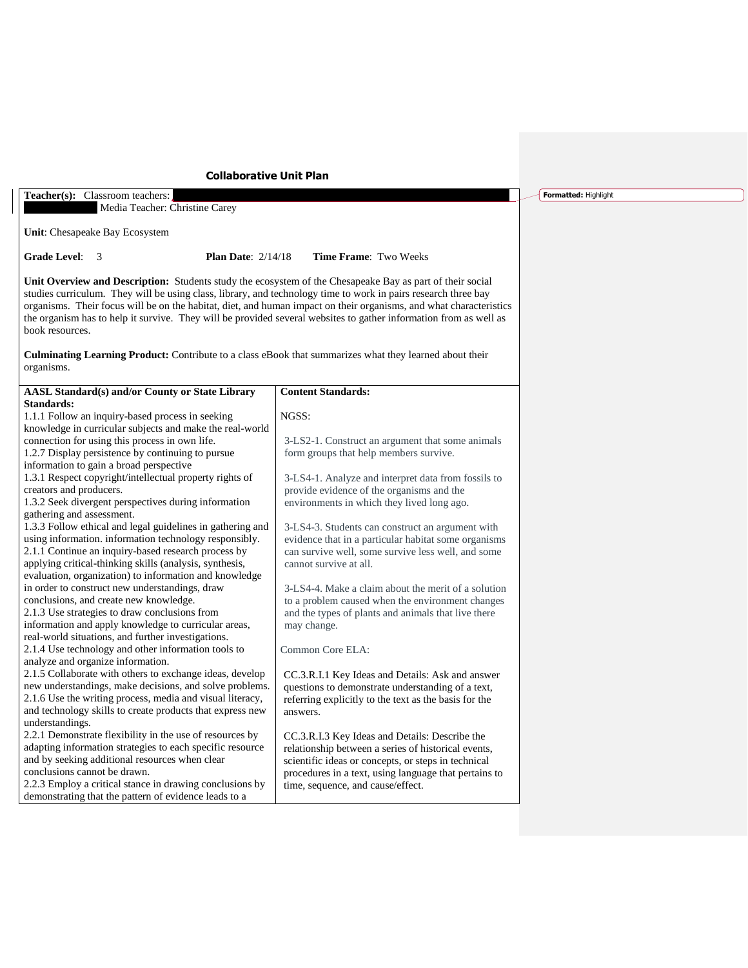# **Collaborative Unit Plan**

**Teacher(s):** Classroom teachers: Media Teacher: Christine Carey

**Unit**: Chesapeake Bay Ecosystem

**Grade Level**: 3 **Plan Date**: 2/14/18 **Time Frame**: Two Weeks

**Unit Overview and Description:** Students study the ecosystem of the Chesapeake Bay as part of their social studies curriculum. They will be using class, library, and technology time to work in pairs research three bay organisms. Their focus will be on the habitat, diet, and human impact on their organisms, and what characteristics the organism has to help it survive. They will be provided several websites to gather information from as well as book resources.

**Culminating Learning Product:** Contribute to a class eBook that summarizes what they learned about their organisms.

| <b>AASL Standard(s) and/or County or State Library</b>     | <b>Content Standards:</b>                             |
|------------------------------------------------------------|-------------------------------------------------------|
| Standards:                                                 |                                                       |
| 1.1.1 Follow an inquiry-based process in seeking           | NGSS:                                                 |
| knowledge in curricular subjects and make the real-world   |                                                       |
| connection for using this process in own life.             | 3-LS2-1. Construct an argument that some animals      |
| 1.2.7 Display persistence by continuing to pursue          | form groups that help members survive.                |
| information to gain a broad perspective                    |                                                       |
| 1.3.1 Respect copyright/intellectual property rights of    | 3-LS4-1. Analyze and interpret data from fossils to   |
| creators and producers.                                    | provide evidence of the organisms and the             |
| 1.3.2 Seek divergent perspectives during information       | environments in which they lived long ago.            |
| gathering and assessment.                                  |                                                       |
| 1.3.3 Follow ethical and legal guidelines in gathering and | 3-LS4-3. Students can construct an argument with      |
| using information. information technology responsibly.     | evidence that in a particular habitat some organisms  |
| 2.1.1 Continue an inquiry-based research process by        | can survive well, some survive less well, and some    |
| applying critical-thinking skills (analysis, synthesis,    | cannot survive at all.                                |
| evaluation, organization) to information and knowledge     |                                                       |
| in order to construct new understandings, draw             | 3-LS4-4. Make a claim about the merit of a solution   |
| conclusions, and create new knowledge.                     | to a problem caused when the environment changes      |
| 2.1.3 Use strategies to draw conclusions from              | and the types of plants and animals that live there   |
| information and apply knowledge to curricular areas,       | may change.                                           |
| real-world situations, and further investigations.         |                                                       |
| 2.1.4 Use technology and other information tools to        | Common Core ELA:                                      |
| analyze and organize information.                          |                                                       |
| 2.1.5 Collaborate with others to exchange ideas, develop   | CC.3.R.I.1 Key Ideas and Details: Ask and answer      |
| new understandings, make decisions, and solve problems.    | questions to demonstrate understanding of a text,     |
| 2.1.6 Use the writing process, media and visual literacy,  | referring explicitly to the text as the basis for the |
| and technology skills to create products that express new  | answers.                                              |
| understandings.                                            |                                                       |
| 2.2.1 Demonstrate flexibility in the use of resources by   | CC.3.R.I.3 Key Ideas and Details: Describe the        |
| adapting information strategies to each specific resource  | relationship between a series of historical events,   |
| and by seeking additional resources when clear             | scientific ideas or concepts, or steps in technical   |
| conclusions cannot be drawn.                               | procedures in a text, using language that pertains to |
| 2.2.3 Employ a critical stance in drawing conclusions by   | time, sequence, and cause/effect.                     |
| demonstrating that the pattern of evidence leads to a      |                                                       |

**Formatted:** Highlight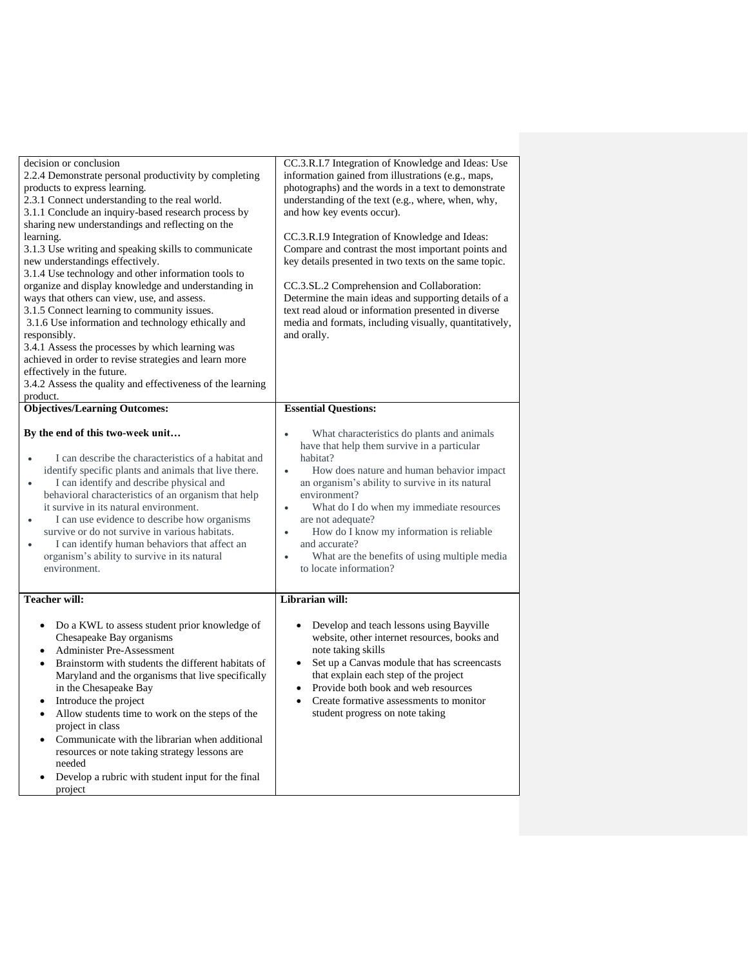| CC.3.R.I.7 Integration of Knowledge and Ideas: Use<br>information gained from illustrations (e.g., maps,<br>photographs) and the words in a text to demonstrate<br>understanding of the text (e.g., where, when, why,<br>and how key events occur).<br>CC.3.R.I.9 Integration of Knowledge and Ideas:<br>Compare and contrast the most important points and<br>key details presented in two texts on the same topic.<br>CC.3.SL.2 Comprehension and Collaboration:<br>Determine the main ideas and supporting details of a<br>text read aloud or information presented in diverse<br>media and formats, including visually, quantitatively,<br>and orally. |
|------------------------------------------------------------------------------------------------------------------------------------------------------------------------------------------------------------------------------------------------------------------------------------------------------------------------------------------------------------------------------------------------------------------------------------------------------------------------------------------------------------------------------------------------------------------------------------------------------------------------------------------------------------|
| <b>Essential Questions:</b>                                                                                                                                                                                                                                                                                                                                                                                                                                                                                                                                                                                                                                |
| What characteristics do plants and animals<br>$\bullet$<br>have that help them survive in a particular<br>habitat?<br>How does nature and human behavior impact<br>$\bullet$<br>an organism's ability to survive in its natural<br>environment?<br>What do I do when my immediate resources<br>$\bullet$<br>are not adequate?<br>How do I know my information is reliable<br>$\bullet$<br>and accurate?<br>What are the benefits of using multiple media<br>$\bullet$<br>to locate information?                                                                                                                                                            |
| Librarian will:                                                                                                                                                                                                                                                                                                                                                                                                                                                                                                                                                                                                                                            |
| Develop and teach lessons using Bayville<br>website, other internet resources, books and<br>note taking skills<br>Set up a Canvas module that has screencasts<br>that explain each step of the project<br>Provide both book and web resources<br>$\bullet$<br>Create formative assessments to monitor<br>student progress on note taking                                                                                                                                                                                                                                                                                                                   |
|                                                                                                                                                                                                                                                                                                                                                                                                                                                                                                                                                                                                                                                            |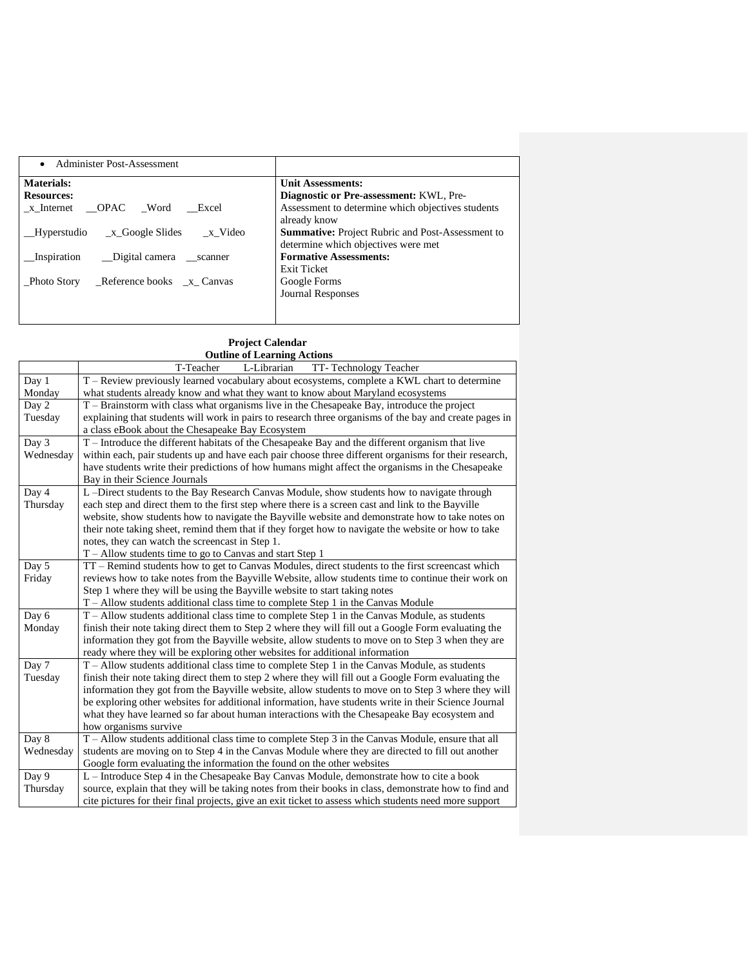| Administer Post-Assessment<br>$\bullet$     |                                                                                                |
|---------------------------------------------|------------------------------------------------------------------------------------------------|
| <b>Materials:</b>                           | <b>Unit Assessments:</b>                                                                       |
| <b>Resources:</b>                           | Diagnostic or Pre-assessment: KWL, Pre-                                                        |
| OPAC Word<br>Excel<br>x Internet            | Assessment to determine which objectives students<br>already know                              |
| x Google Slides<br>Hyperstudio<br>x Video   | <b>Summative:</b> Project Rubric and Post-Assessment to<br>determine which objectives were met |
| Inspiration<br>Digital camera scanner       | <b>Formative Assessments:</b><br>Exit Ticket                                                   |
| Reference books $x_C$ Canvas<br>Photo Story | Google Forms<br><b>Journal Responses</b>                                                       |

### **Project Calendar Outline of Learning Actions**

|           | <b>Outline of Learning Actions</b>                                                                     |  |  |
|-----------|--------------------------------------------------------------------------------------------------------|--|--|
|           | T-Teacher<br>L-Librarian<br>TT-Technology Teacher                                                      |  |  |
| Day 1     | T – Review previously learned vocabulary about ecosystems, complete a KWL chart to determine           |  |  |
| Monday    | what students already know and what they want to know about Maryland ecosystems                        |  |  |
| Day 2     | T – Brainstorm with class what organisms live in the Chesapeake Bay, introduce the project             |  |  |
| Tuesday   | explaining that students will work in pairs to research three organisms of the bay and create pages in |  |  |
|           | a class eBook about the Chesapeake Bay Ecosystem                                                       |  |  |
| Day 3     | T – Introduce the different habitats of the Chesapeake Bay and the different organism that live        |  |  |
| Wednesday | within each, pair students up and have each pair choose three different organisms for their research,  |  |  |
|           | have students write their predictions of how humans might affect the organisms in the Chesapeake       |  |  |
|           | Bay in their Science Journals                                                                          |  |  |
| Day 4     | L-Direct students to the Bay Research Canvas Module, show students how to navigate through             |  |  |
| Thursday  | each step and direct them to the first step where there is a screen cast and link to the Bayville      |  |  |
|           | website, show students how to navigate the Bayville website and demonstrate how to take notes on       |  |  |
|           | their note taking sheet, remind them that if they forget how to navigate the website or how to take    |  |  |
|           | notes, they can watch the screencast in Step 1.                                                        |  |  |
|           | T – Allow students time to go to Canvas and start Step 1                                               |  |  |
| Day 5     | TT – Remind students how to get to Canvas Modules, direct students to the first screencast which       |  |  |
| Friday    | reviews how to take notes from the Bayville Website, allow students time to continue their work on     |  |  |
|           | Step 1 where they will be using the Bayville website to start taking notes                             |  |  |
|           | $T -$ Allow students additional class time to complete Step 1 in the Canvas Module                     |  |  |
| Day 6     | $T -$ Allow students additional class time to complete Step 1 in the Canvas Module, as students        |  |  |
| Monday    | finish their note taking direct them to Step 2 where they will fill out a Google Form evaluating the   |  |  |
|           | information they got from the Bayville website, allow students to move on to Step 3 when they are      |  |  |
|           | ready where they will be exploring other websites for additional information                           |  |  |
| Day 7     | T – Allow students additional class time to complete Step 1 in the Canvas Module, as students          |  |  |
| Tuesday   | finish their note taking direct them to step 2 where they will fill out a Google Form evaluating the   |  |  |
|           | information they got from the Bayville website, allow students to move on to Step 3 where they will    |  |  |
|           | be exploring other websites for additional information, have students write in their Science Journal   |  |  |
|           | what they have learned so far about human interactions with the Chesapeake Bay ecosystem and           |  |  |
|           | how organisms survive                                                                                  |  |  |
| Day 8     | T – Allow students additional class time to complete Step 3 in the Canvas Module, ensure that all      |  |  |
| Wednesday | students are moving on to Step 4 in the Canvas Module where they are directed to fill out another      |  |  |
|           | Google form evaluating the information the found on the other websites                                 |  |  |
| Day 9     | L – Introduce Step 4 in the Chesapeake Bay Canvas Module, demonstrate how to cite a book               |  |  |
| Thursday  | source, explain that they will be taking notes from their books in class, demonstrate how to find and  |  |  |
|           | cite pictures for their final projects, give an exit ticket to assess which students need more support |  |  |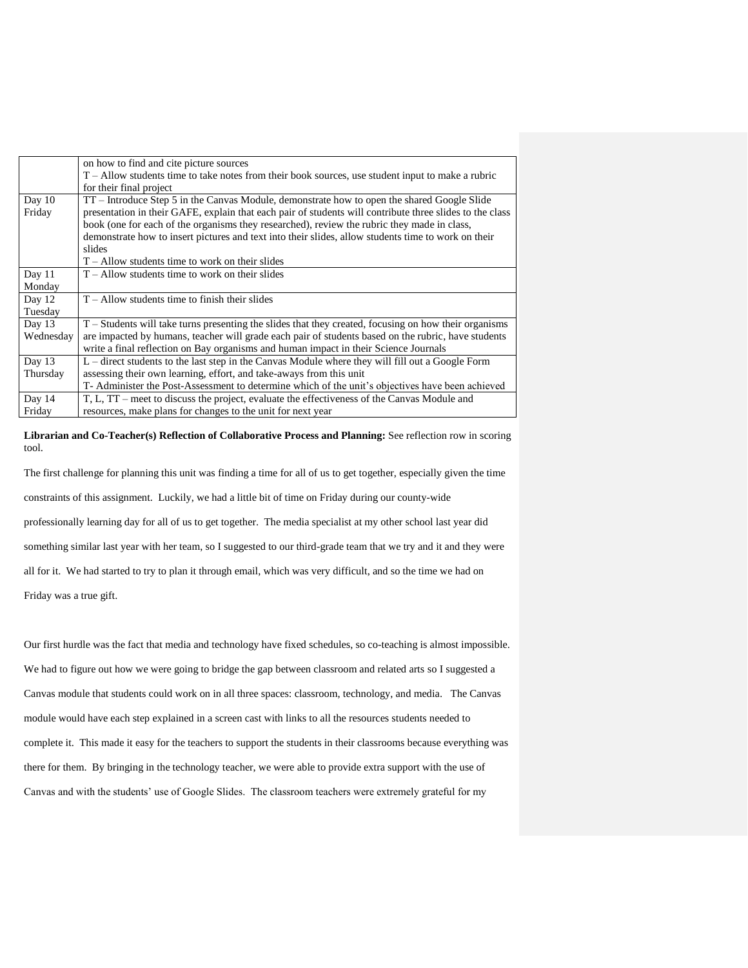|           | on how to find and cite picture sources                                                                  |
|-----------|----------------------------------------------------------------------------------------------------------|
|           | $T -$ Allow students time to take notes from their book sources, use student input to make a rubric      |
|           | for their final project                                                                                  |
| Day $10$  | TT – Introduce Step 5 in the Canvas Module, demonstrate how to open the shared Google Slide              |
| Friday    | presentation in their GAFE, explain that each pair of students will contribute three slides to the class |
|           | book (one for each of the organisms they researched), review the rubric they made in class,              |
|           | demonstrate how to insert pictures and text into their slides, allow students time to work on their      |
|           | slides                                                                                                   |
|           | $T -$ Allow students time to work on their slides                                                        |
| Day $11$  | $T -$ Allow students time to work on their slides                                                        |
| Monday    |                                                                                                          |
| Day 12    | $T -$ Allow students time to finish their slides                                                         |
| Tuesday   |                                                                                                          |
| Day $13$  | T – Students will take turns presenting the slides that they created, focusing on how their organisms    |
| Wednesday | are impacted by humans, teacher will grade each pair of students based on the rubric, have students      |
|           | write a final reflection on Bay organisms and human impact in their Science Journals                     |
| Day 13    | L – direct students to the last step in the Canvas Module where they will fill out a Google Form         |
| Thursday  | assessing their own learning, effort, and take-aways from this unit                                      |
|           | T- Administer the Post-Assessment to determine which of the unit's objectives have been achieved         |
| Day 14    | T, L, TT – meet to discuss the project, evaluate the effectiveness of the Canvas Module and              |
| Friday    | resources, make plans for changes to the unit for next year                                              |
|           |                                                                                                          |

**Librarian and Co-Teacher(s) Reflection of Collaborative Process and Planning:** See reflection row in scoring tool.

The first challenge for planning this unit was finding a time for all of us to get together, especially given the time constraints of this assignment. Luckily, we had a little bit of time on Friday during our county-wide professionally learning day for all of us to get together. The media specialist at my other school last year did something similar last year with her team, so I suggested to our third-grade team that we try and it and they were all for it. We had started to try to plan it through email, which was very difficult, and so the time we had on Friday was a true gift.

Our first hurdle was the fact that media and technology have fixed schedules, so co-teaching is almost impossible. We had to figure out how we were going to bridge the gap between classroom and related arts so I suggested a Canvas module that students could work on in all three spaces: classroom, technology, and media. The Canvas module would have each step explained in a screen cast with links to all the resources students needed to complete it. This made it easy for the teachers to support the students in their classrooms because everything was there for them. By bringing in the technology teacher, we were able to provide extra support with the use of Canvas and with the students' use of Google Slides. The classroom teachers were extremely grateful for my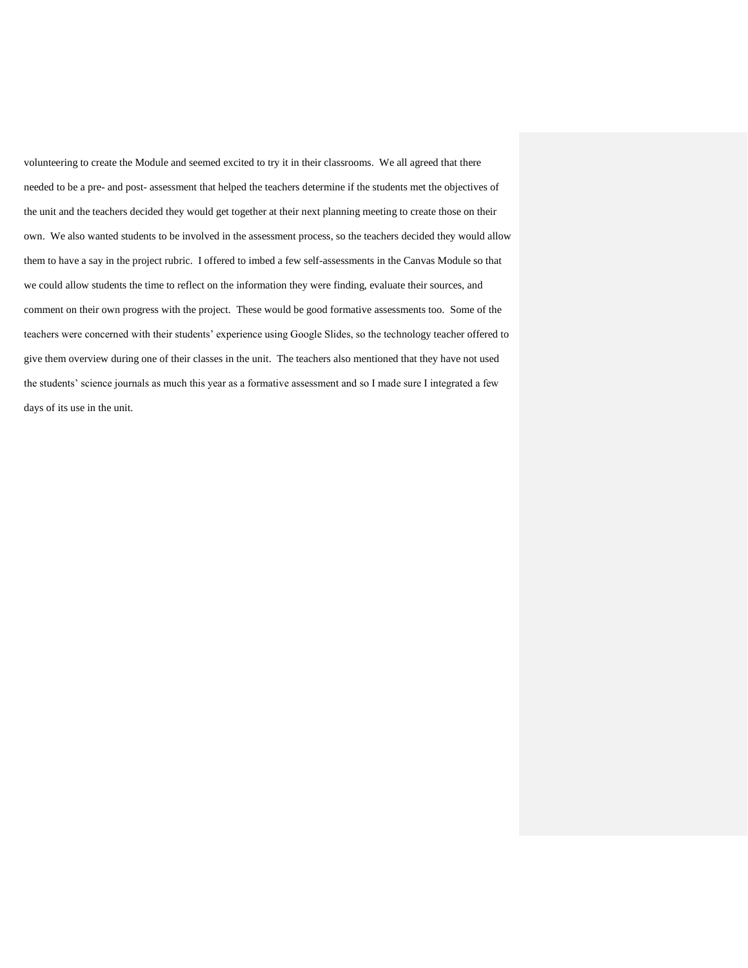volunteering to create the Module and seemed excited to try it in their classrooms. We all agreed that there needed to be a pre- and post- assessment that helped the teachers determine if the students met the objectives of the unit and the teachers decided they would get together at their next planning meeting to create those on their own. We also wanted students to be involved in the assessment process, so the teachers decided they would allow them to have a say in the project rubric. I offered to imbed a few self-assessments in the Canvas Module so that we could allow students the time to reflect on the information they were finding, evaluate their sources, and comment on their own progress with the project. These would be good formative assessments too. Some of the teachers were concerned with their students' experience using Google Slides, so the technology teacher offered to give them overview during one of their classes in the unit. The teachers also mentioned that they have not used the students' science journals as much this year as a formative assessment and so I made sure I integrated a few days of its use in the unit.